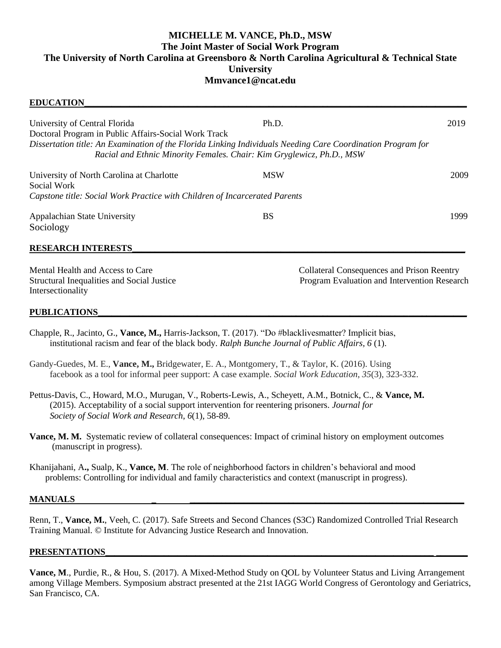# **MICHELLE M. VANCE, Ph.D., MSW The Joint Master of Social Work Program The University of North Carolina at Greensboro & North Carolina Agricultural & Technical State University Mmvance1@ncat.edu**

| <b>EDUCATION</b>                                                                                                                                                                                           |                                                   |      |
|------------------------------------------------------------------------------------------------------------------------------------------------------------------------------------------------------------|---------------------------------------------------|------|
| University of Central Florida                                                                                                                                                                              | Ph.D.                                             | 2019 |
| Doctoral Program in Public Affairs-Social Work Track                                                                                                                                                       |                                                   |      |
| Dissertation title: An Examination of the Florida Linking Individuals Needing Care Coordination Program for<br>Racial and Ethnic Minority Females. Chair: Kim Gryglewicz, Ph.D., MSW                       |                                                   |      |
| University of North Carolina at Charlotte<br>Social Work                                                                                                                                                   | <b>MSW</b>                                        | 2009 |
| Capstone title: Social Work Practice with Children of Incarcerated Parents                                                                                                                                 |                                                   |      |
| Appalachian State University                                                                                                                                                                               | <b>BS</b>                                         | 1999 |
| Sociology                                                                                                                                                                                                  |                                                   |      |
| <b>RESEARCH INTERESTS</b>                                                                                                                                                                                  |                                                   |      |
| Mental Health and Access to Care                                                                                                                                                                           | <b>Collateral Consequences and Prison Reentry</b> |      |
| Structural Inequalities and Social Justice<br>Intersectionality                                                                                                                                            | Program Evaluation and Intervention Research      |      |
| <b>PUBLICATIONS</b>                                                                                                                                                                                        |                                                   |      |
| Chapple, R., Jacinto, G., Vance, M., Harris-Jackson, T. (2017). "Do #blacklivesmatter? Implicit bias,<br>institutional racism and fear of the black body. Ralph Bunche Journal of Public Affairs, $6(1)$ . |                                                   |      |

Gandy-Guedes, M. E., **Vance, M.,** Bridgewater, E. A., Montgomery, T., & Taylor, K. (2016). Using facebook as a tool for informal peer support: A case example. *Social Work Education*, *35*(3), 323-332.

Pettus-Davis, C., Howard, M.O., Murugan, V., Roberts-Lewis, A., Scheyett, A.M., Botnick, C., & **Vance, M.** (2015). Acceptability of a social support intervention for reentering prisoners. *Journal for Society of Social Work and Research*, *6*(1), 58-89.

**Vance, M. M.** Systematic review of collateral consequences: Impact of criminal history on employment outcomes (manuscript in progress).

Khanijahani, A**.,** Sualp, K., **Vance, M**. The role of neighborhood factors in children's behavioral and mood problems: Controlling for individual and family characteristics and context (manuscript in progress).

#### **MANUALS**

Renn, T., **Vance, M.**, Veeh, C. (2017). Safe Streets and Second Chances (S3C) Randomized Controlled Trial Research Training Manual. © Institute for Advancing Justice Research and Innovation.

### $PRESENTATIONS$

**Vance, M**., Purdie, R., & Hou, S. (2017). A Mixed-Method Study on QOL by Volunteer Status and Living Arrangement among Village Members. Symposium abstract presented at the 21st IAGG World Congress of Gerontology and Geriatrics, San Francisco, CA.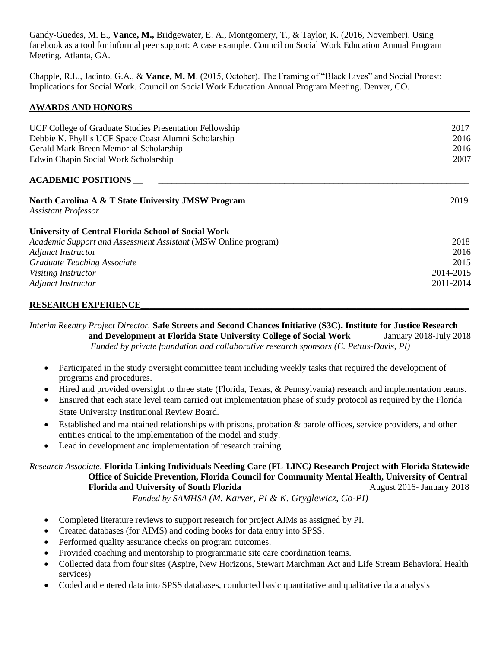Gandy-Guedes, M. E., **Vance, M.,** Bridgewater, E. A., Montgomery, T., & Taylor, K. (2016, November). Using facebook as a tool for informal peer support: A case example. Council on Social Work Education Annual Program Meeting. Atlanta, GA.

Chapple, R.L., Jacinto, G.A., & **Vance, M. M**. (2015, October). The Framing of "Black Lives" and Social Protest: Implications for Social Work. Council on Social Work Education Annual Program Meeting. Denver, CO.

### **AWARDS AND HONORS\_\_\_\_\_\_\_\_\_\_\_\_\_\_\_\_\_\_\_\_\_\_\_\_\_\_\_\_\_\_\_\_\_\_\_\_\_\_\_\_\_\_\_\_\_\_\_\_\_\_\_\_\_\_\_\_\_\_\_\_\_\_\_\_\_\_\_\_\_\_\_\_\_\_\_**

| UCF College of Graduate Studies Presentation Fellowship<br>Debbie K. Phyllis UCF Space Coast Alumni Scholarship<br>Gerald Mark-Breen Memorial Scholarship<br>Edwin Chapin Social Work Scholarship | 2017<br>2016<br>2016<br>2007 |
|---------------------------------------------------------------------------------------------------------------------------------------------------------------------------------------------------|------------------------------|
| <b>ACADEMIC POSITIONS</b>                                                                                                                                                                         |                              |
| <b>North Carolina A &amp; T State University JMSW Program</b><br><b>Assistant Professor</b>                                                                                                       | 2019                         |
| <b>University of Central Florida School of Social Work</b>                                                                                                                                        |                              |
| Academic Support and Assessment Assistant (MSW Online program)                                                                                                                                    | 2018                         |
| <b>Adjunct Instructor</b>                                                                                                                                                                         | 2016                         |
| <b>Graduate Teaching Associate</b>                                                                                                                                                                | 2015                         |
| <b>Visiting Instructor</b>                                                                                                                                                                        | 2014-2015                    |
| <b>Adjunct Instructor</b>                                                                                                                                                                         | 2011-2014                    |

### **RESEARCH EXPERIENCE\_\_\_\_\_\_\_\_\_\_\_\_\_\_\_\_\_\_\_\_\_\_\_\_\_\_\_\_\_\_\_\_\_\_\_\_\_\_\_\_\_\_\_\_\_\_\_\_\_\_\_\_\_\_\_\_\_\_\_\_\_\_\_\_\_\_\_\_\_\_\_\_\_**

*Interim Reentry Project Director.* **Safe Streets and Second Chances Initiative (S3C). Institute for Justice Research and Development at Florida State University College of Social Work** January 2018-July 2018 *Funded by private foundation and collaborative research sponsors (C. Pettus-Davis, PI)*

- Participated in the study oversight committee team including weekly tasks that required the development of programs and procedures.
- Hired and provided oversight to three state (Florida, Texas, & Pennsylvania) research and implementation teams.
- Ensured that each state level team carried out implementation phase of study protocol as required by the Florida State University Institutional Review Board.
- Established and maintained relationships with prisons, probation & parole offices, service providers, and other entities critical to the implementation of the model and study.
- Lead in development and implementation of research training.

*Research Associate*. **Florida Linking Individuals Needing Care (FL-LINC***)* **Research Project with Florida Statewide Office of Suicide Prevention, Florida Council for Community Mental Health, University of Central Florida and University of South Florida August 2016-** January 2018 *Funded by SAMHSA (M. Karver, PI & K. Gryglewicz, Co-PI)*

- Completed literature reviews to support research for project AIMs as assigned by PI.
- Created databases (for AIMS) and coding books for data entry into SPSS.
- Performed quality assurance checks on program outcomes.
- Provided coaching and mentorship to programmatic site care coordination teams.
- Collected data from four sites (Aspire, New Horizons, Stewart Marchman Act and Life Stream Behavioral Health services)
- Coded and entered data into SPSS databases, conducted basic quantitative and qualitative data analysis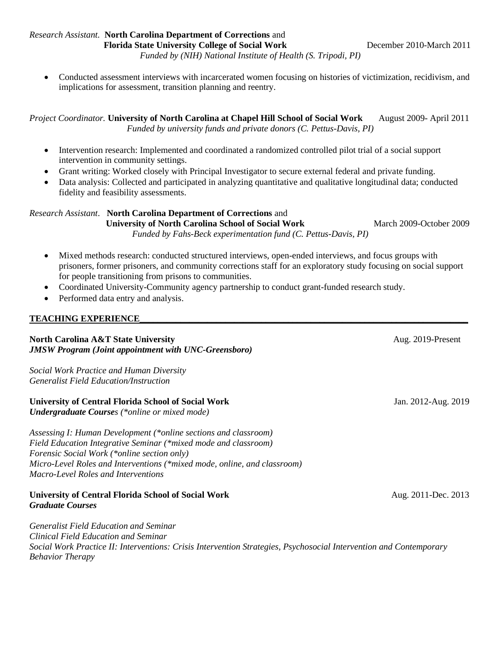*Research Assistant.* **North Carolina Department of Corrections** and **Florida State University College of Social Work December 2010-March 2011** 

*Funded by (NIH) National Institute of Health (S. Tripodi, PI)*

• Conducted assessment interviews with incarcerated women focusing on histories of victimization, recidivism, and implications for assessment, transition planning and reentry.

*Project Coordinator.* **University of North Carolina at Chapel Hill School of Social Work** August 2009- April 2011 *Funded by university funds and private donors (C. Pettus-Davis, PI)*

- Intervention research: Implemented and coordinated a randomized controlled pilot trial of a social support intervention in community settings.
- Grant writing: Worked closely with Principal Investigator to secure external federal and private funding.
- Data analysis: Collected and participated in analyzing quantitative and qualitative longitudinal data; conducted fidelity and feasibility assessments.

#### *Research Assistant*. **North Carolina Department of Corrections** and *University of North Carolina School of Social Work* **March 2009-October 2009**

*Funded by Fahs-Beck experimentation fund (C. Pettus-Davis, PI)*

• Mixed methods research: conducted structured interviews, open-ended interviews, and focus groups with prisoners, former prisoners, and community corrections staff for an exploratory study focusing on social support for people transitioning from prisons to communities.

- Coordinated University-Community agency partnership to conduct grant-funded research study.
- Performed data entry and analysis.

### **TEACHING EXPERIENCE\_\_\_\_\_\_\_\_\_\_\_\_\_\_\_\_\_\_\_\_\_\_\_\_\_\_\_\_\_\_\_\_\_\_\_\_\_\_\_\_\_\_\_\_\_\_\_\_\_\_\_\_\_\_\_\_\_\_\_\_\_\_\_\_\_\_\_\_\_\_\_\_\_**

### **North Carolina A&T State University Aug. 2019-Present Aug. 2019-Present** *JMSW Program (Joint appointment with UNC-Greensboro)*

*Social Work Practice and Human Diversity Generalist Field Education/Instruction*

### **University of Central Florida School of Social Work** Jan. 2012-Aug. 2019

*Undergraduate Courses (\*online or mixed mode)*

*Assessing I: Human Development (\*online sections and classroom) Field Education Integrative Seminar (\*mixed mode and classroom) Forensic Social Work (\*online section only) Micro-Level Roles and Interventions (\*mixed mode, online, and classroom) Macro-Level Roles and Interventions*

### **University of Central Florida School of Social Work 1998 1998 1999 12011-Dec. 2013** *Graduate Courses*

*Generalist Field Education and Seminar Clinical Field Education and Seminar Social Work Practice II: Interventions: Crisis Intervention Strategies, Psychosocial Intervention and Contemporary Behavior Therapy*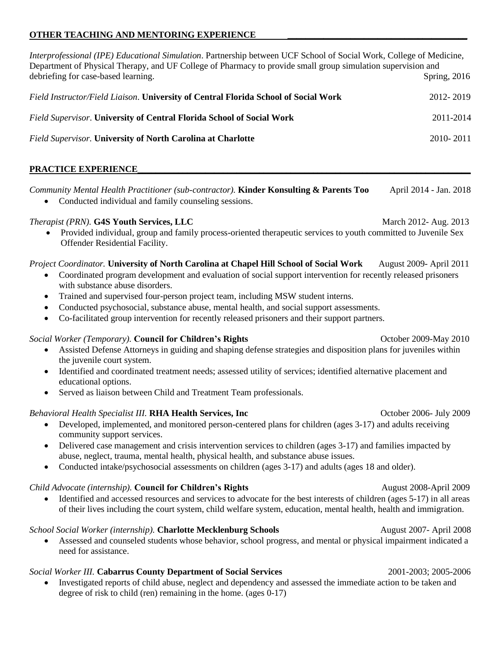## **OTHER TEACHING AND MENTORING EXPERIENCE**

*Interprofessional (IPE) Educational Simulation*. Partnership between UCF School of Social Work, College of Medicine, Department of Physical Therapy, and UF College of Pharmacy to provide small group simulation supervision and debriefing for case-based learning. Spring, 2016 *Field Instructor/Field Liaison*. **University of Central Florida School of Social Work** 2012- 2019 *Field Supervisor*. **University of Central Florida School of Social Work** 2011-2014 *Field Supervisor.* **University of North Carolina at Charlotte** 2010- 2011 PRACTICE EXPERIENCE *Community Mental Health Practitioner (sub-contractor).* **Kinder Konsulting & Parents Too** April 2014 - Jan. 2018 • Conducted individual and family counseling sessions. *Therapist (PRN).* **G4S Youth Services, LLC** March 2012- Aug. 2013 • Provided individual, group and family process-oriented therapeutic services to youth committed to Juvenile Sex Offender Residential Facility. *Project Coordinator.* **University of North Carolina at Chapel Hill School of Social Work** August 2009- April 2011 • Coordinated program development and evaluation of social support intervention for recently released prisoners with substance abuse disorders. • Trained and supervised four-person project team, including MSW student interns. • Conducted psychosocial, substance abuse, mental health, and social support assessments. • Co-facilitated group intervention for recently released prisoners and their support partners. *Social Worker (Temporary).* **Council for Children's Rights** October 2009-May 2010 • Assisted Defense Attorneys in guiding and shaping defense strategies and disposition plans for juveniles within the juvenile court system. • Identified and coordinated treatment needs; assessed utility of services; identified alternative placement and educational options. Served as liaison between Child and Treatment Team professionals. *Behavioral Health Specialist III.* **RHA Health Services, Inc** October 2006- July 2009 • Developed, implemented, and monitored person-centered plans for children (ages 3-17) and adults receiving community support services. • Delivered case management and crisis intervention services to children (ages 3-17) and families impacted by abuse, neglect, trauma, mental health, physical health, and substance abuse issues. • Conducted intake/psychosocial assessments on children (ages 3-17) and adults (ages 18 and older). *Child Advocate (internship).* **Council for Children's Rights** August 2008-April 2009 • Identified and accessed resources and services to advocate for the best interests of children (ages 5-17) in all areas of their lives including the court system, child welfare system, education, mental health, health and immigration. *School Social Worker (internship)*. **Charlotte Mecklenburg Schools August 2007- April 2008** 

• Assessed and counseled students whose behavior, school progress, and mental or physical impairment indicated a need for assistance.

## *Social Worker III.* **Cabarrus County Department of Social Services** 2001-2003; 2005-2006

• Investigated reports of child abuse, neglect and dependency and assessed the immediate action to be taken and degree of risk to child (ren) remaining in the home. (ages 0-17)